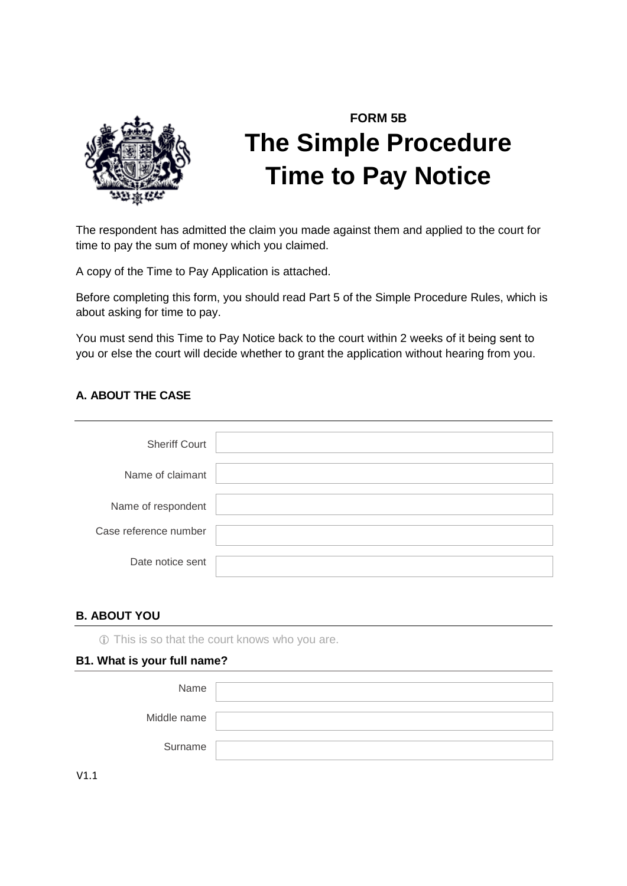

# **FORM 5B The Simple Procedure Time to Pay Notice**

The respondent has admitted the claim you made against them and applied to the court for time to pay the sum of money which you claimed.

A copy of the Time to Pay Application is attached.

Before completing this form, you should read Part 5 of the Simple Procedure Rules, which is about asking for time to pay.

You must send this Time to Pay Notice back to the court within 2 weeks of it being sent to you or else the court will decide whether to grant the application without hearing from you.

# **A. ABOUT THE CASE**

| <b>Sheriff Court</b>  |  |
|-----------------------|--|
| Name of claimant      |  |
| Name of respondent    |  |
| Case reference number |  |
| Date notice sent      |  |

### **B. ABOUT YOU**

This is so that the court knows who you are.

#### **B1. What is your full name?**

| Name        |  |
|-------------|--|
| Middle name |  |
| Surname     |  |

V1.1